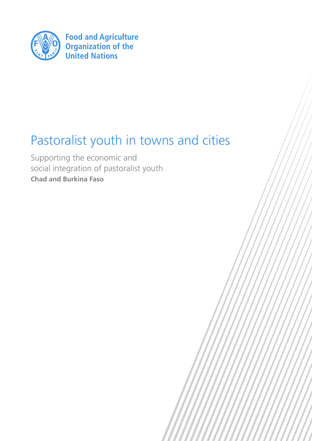

**Food and Agriculture<br>Organization of the<br>United Nations** 

# Pastoralist youth in towns and cities

Supporting the economic and social integration of pastoralist youth **Chad and Burkina Faso**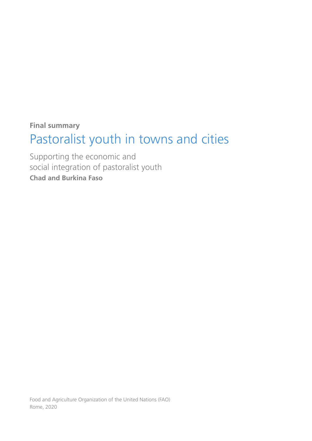# **Final summary** Pastoralist youth in towns and cities

Supporting the economic and social integration of pastoralist youth **Chad and Burkina Faso**

Food and Agriculture Organization of the United Nations (FAO) Rome, 2020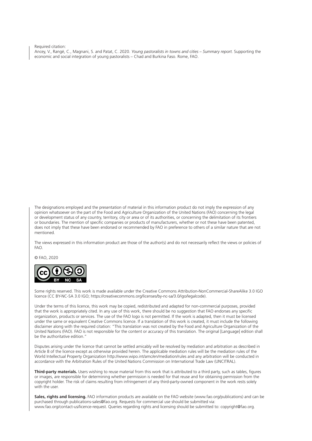Required citation:

Ancey, V., Rangé, C., Magnani, S. and Patat, C. 2020. *Young pastoralists in towns and cities – Summary report.* Supporting the economic and social integration of young pastoralists – Chad and Burkina Faso. Rome, FAO.

The designations employed and the presentation of material in this information product do not imply the expression of any opinion whatsoever on the part of the Food and Agriculture Organization of the United Nations (FAO) concerning the legal or development status of any country, territory, city or area or of its authorities, or concerning the delimitation of its frontiers or boundaries. The mention of specific companies or products of manufacturers, whether or not these have been patented, does not imply that these have been endorsed or recommended by FAO in preference to others of a similar nature that are not mentioned.

The views expressed in this information product are those of the author(s) and do not necessarily reflect the views or policies of  $F\Delta$  $\cap$ 

© FAO, 2020



Some rights reserved. This work is made available under the Creative Commons Attribution-NonCommercial-ShareAlike 3.0 IGO licence (CC BY-NC-SA 3.0 IGO; https://creativecommons.org/licenses/by-nc-sa/3.0/igo/legalcode).

Under the terms of this licence, this work may be copied, redistributed and adapted for non-commercial purposes, provided that the work is appropriately cited. In any use of this work, there should be no suggestion that FAO endorses any specific organization, products or services. The use of the FAO logo is not permitted. If the work is adapted, then it must be licensed under the same or equivalent Creative Commons licence. If a translation of this work is created, it must include the following disclaimer along with the required citation: "This translation was not created by the Food and Agriculture Organization of the United Nations (FAO). FAO is not responsible for the content or accuracy of this translation. The original [Language] edition shall be the authoritative edition."

Disputes arising under the licence that cannot be settled amicably will be resolved by mediation and arbitration as described in Article 8 of the licence except as otherwise provided herein. The applicable mediation rules will be the mediation rules of the World Intellectual Property Organization http://www.wipo.int/amc/en/mediation/rules and any arbitration will be conducted in accordance with the Arbitration Rules of the United Nations Commission on International Trade Law (UNCITRAL).

**Third-party materials.** Users wishing to reuse material from this work that is attributed to a third party, such as tables, figures or images, are responsible for determining whether permission is needed for that reuse and for obtaining permission from the copyright holder. The risk of claims resulting from infringement of any third-party-owned component in the work rests solely with the user.

**Sales, rights and licensing.** FAO information products are available on the FAO website (www.fao.org/publications) and can be purchased through publications-sales@fao.org. Requests for commercial use should be submitted via: www.fao.org/contact-us/licence-request. Queries regarding rights and licensing should be submitted to: copyright@fao.org.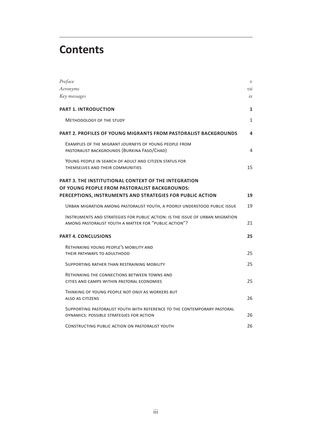# **Contents**

| Preface                                                                                                                                                                   | $\cal{U}$    |
|---------------------------------------------------------------------------------------------------------------------------------------------------------------------------|--------------|
| Acronyms                                                                                                                                                                  | vü           |
| Key messages                                                                                                                                                              | ix           |
| <b>PART 1. INTRODUCTION</b>                                                                                                                                               | $\mathbf{1}$ |
| <b>METHODOLOGY OF THE STUDY</b>                                                                                                                                           | $\mathbf{1}$ |
| <b>PART 2. PROFILES OF YOUNG MIGRANTS FROM PASTORALIST BACKGROUNDS</b>                                                                                                    | 4            |
| EXAMPLES OF THE MIGRANT JOURNEYS OF YOUNG PEOPLE FROM<br>PASTORALIST BACKGROUNDS (BURKINA FASO/CHAD)                                                                      | 4            |
| YOUNG PEOPLE IN SEARCH OF ADULT AND CITIZEN STATUS FOR<br>THEMSELVES AND THEIR COMMUNITIES                                                                                | 15           |
| <b>PART 3. THE INSTITUTIONAL CONTEXT OF THE INTEGRATION</b><br>OF YOUNG PEOPLE FROM PASTORALIST BACKGROUNDS:<br>PERCEPTIONS, INSTRUMENTS AND STRATEGIES FOR PUBLIC ACTION | 19           |
| URBAN MIGRATION AMONG PASTORALIST YOUTH, A POORLY UNDERSTOOD PUBLIC ISSUE                                                                                                 | 19           |
| INSTRUMENTS AND STRATEGIES FOR PUBLIC ACTION: IS THE ISSUE OF URBAN MIGRATION<br>AMONG PASTORALIST YOUTH A MATTER FOR "PUBLIC ACTION"?                                    | 21           |
| <b>PART 4. CONCLUSIONS</b>                                                                                                                                                | 25           |
| RETHINKING YOUNG PEOPLE'S MOBILITY AND<br>THEIR PATHWAYS TO ADULTHOOD                                                                                                     | 25           |
| SUPPORTING RATHER THAN RESTRAINING MOBILITY                                                                                                                               | 25           |
| RETHINKING THE CONNECTIONS BETWEEN TOWNS AND<br>CITIES AND CAMPS WITHIN PASTORAL ECONOMIES                                                                                | 25           |
| THINKING OF YOUNG PEOPLE NOT ONLY AS WORKERS BUT<br><b>ALSO AS CITIZENS</b>                                                                                               | 26           |
| SUPPORTING PASTORALIST YOUTH WITH REFERENCE TO THE CONTEMPORARY PASTORAL<br>DYNAMICS: POSSIBLE STRATEGIES FOR ACTION                                                      | 26           |
| CONSTRUCTING PUBLIC ACTION ON PASTORALIST YOUTH                                                                                                                           | 26           |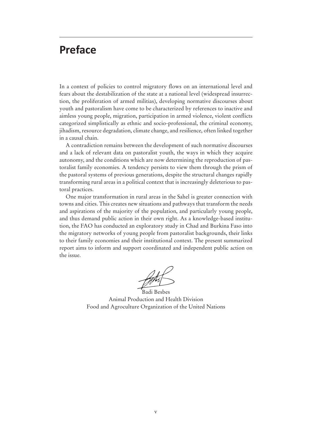# **Preface**

In a context of policies to control migratory flows on an international level and fears about the destabilization of the state at a national level (widespread insurrection, the proliferation of armed militias), developing normative discourses about youth and pastoralism have come to be characterized by references to inactive and aimless young people, migration, participation in armed violence, violent conflicts categorized simplistically as ethnic and socio-professional, the criminal economy, jihadism, resource degradation, climate change, and resilience, often linked together in a causal chain.

A contradiction remains between the development of such normative discourses and a lack of relevant data on pastoralist youth, the ways in which they acquire autonomy, and the conditions which are now determining the reproduction of pastoralist family economies. A tendency persists to view them through the prism of the pastoral systems of previous generations, despite the structural changes rapidly transforming rural areas in a political context that is increasingly deleterious to pastoral practices.

One major transformation in rural areas in the Sahel is greater connection with towns and cities. This creates new situations and pathways that transform the needs and aspirations of the majority of the population, and particularly young people, and thus demand public action in their own right. As a knowledge-based institution, the FAO has conducted an exploratory study in Chad and Burkina Faso into the migratory networks of young people from pastoralist backgrounds, their links to their family economies and their institutional context. The present summarized report aims to inform and support coordinated and independent public action on the issue.

Badi Besbes

Animal Production and Health Division Food and Agroculture Organization of the United Nations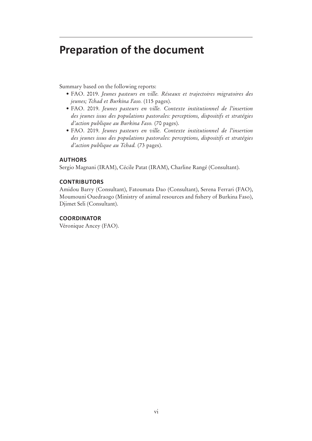# **Preparation of the document**

Summary based on the following reports:

- • FAO. 2019. *Jeunes pasteurs en ville. Réseaux et trajectoires migratoires des jeunes; Tchad et Burkina Faso.* (115 pages).
- • FAO. 2019. *Jeunes pasteurs en ville. Contexte institutionnel de l'insertion des jeunes issus des populations pastorales: perceptions, dispositifs et stratégies d'action publique au Burkina Faso.* (70 pages).
- • FAO. 2019. *Jeunes pasteurs en ville. Contexte institutionnel de l'insertion des jeunes issus des populations pastorales: perceptions, dispositifs et stratégies d'action publique au Tchad.* (73 pages).

# **AUTHORS**

Sergio Magnani (IRAM), Cécile Patat (IRAM), Charline Rangé (Consultant).

# **CONTRIBUTORS**

Amidou Barry (Consultant), Fatoumata Dao (Consultant), Serena Ferrari (FAO), Moumouni Ouedraogo (Ministry of animal resources and fishery of Burkina Faso), Djimet Seli (Consultant).

# **COORDINATOR**

Véronique Ancey (FAO).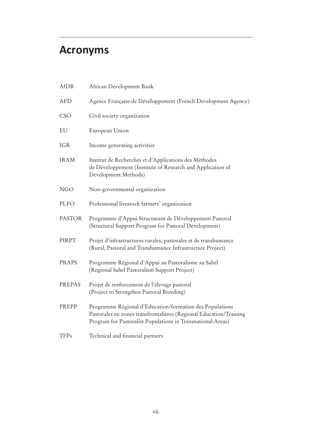# **Acronyms**

| AfDB          | African Development Bank                                                                                                                                                                      |  |  |
|---------------|-----------------------------------------------------------------------------------------------------------------------------------------------------------------------------------------------|--|--|
| AFD           | Agence Française de Développement (French Development Agency)                                                                                                                                 |  |  |
| CSO           | Civil society organization                                                                                                                                                                    |  |  |
| EU            | European Union                                                                                                                                                                                |  |  |
| IGR           | Income generating activities                                                                                                                                                                  |  |  |
| <b>IRAM</b>   | Institut de Recherches et d'Applications des Méthodes<br>de Développement (Institute of Research and Application of<br>Development Methods)                                                   |  |  |
| <b>NGO</b>    | Non-governmental organization                                                                                                                                                                 |  |  |
| PLFO          | Professional livestock farmers' organization                                                                                                                                                  |  |  |
| <b>PASTOR</b> | Programme d'Appui Structurant de Développement Pastoral<br>(Structural Support Program for Pastoral Development)                                                                              |  |  |
| PIRPT         | Projet d'infrastructures rurales, pastorales et de transhumance<br>(Rural, Pastoral and Transhumance Infrastructure Project)                                                                  |  |  |
| <b>PRAPS</b>  | Programme Régional d'Appui au Pastoralisme au Sahel<br>(Regional Sahel Pastoralism Support Project)                                                                                           |  |  |
| <b>PREPAS</b> | Projet de renforcement de l'élevage pastoral<br>(Project to Strengthen Pastoral Breeding)                                                                                                     |  |  |
| PREPP         | Programme Régional d'Education/formation des Populations<br>Pastorales en zones transfrontalières (Regional Education/Training<br>Program for Pastoralist Populations in Transnational Areas) |  |  |
| <b>TFPs</b>   | Technical and financial partners                                                                                                                                                              |  |  |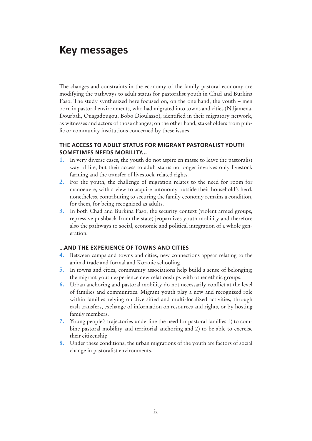# **Key messages**

The changes and constraints in the economy of the family pastoral economy are modifying the pathways to adult status for pastoralist youth in Chad and Burkina Faso. The study synthesized here focused on, on the one hand, the youth – men born in pastoral environments, who had migrated into towns and cities (Ndjamena, Dourbali, Ouagadougou, Bobo Dioulasso), identified in their migratory network, as witnesses and actors of those changes; on the other hand, stakeholders from public or community institutions concerned by these issues.

# **THE ACCESS TO ADULT STATUS FOR MIGRANT PASTORALIST YOUTH SOMETIMES NEEDS MOBILITY...**

- **1.** In very diverse cases, the youth do not aspire en masse to leave the pastoralist way of life; but their access to adult status no longer involves only livestock farming and the transfer of livestock-related rights.
- **2.** For the youth, the challenge of migration relates to the need for room for manoeuvre, with a view to acquire autonomy outside their household's herd; nonetheless, contributing to securing the family economy remains a condition, for them, for being recognized as adults.
- **3.** In both Chad and Burkina Faso, the security context (violent armed groups, repressive pushback from the state) jeopardizes youth mobility and therefore also the pathways to social, economic and political integration of a whole generation.

### **…AND THE EXPERIENCE OF TOWNS AND CITIES**

- **4.** Between camps and towns and cities, new connections appear relating to the animal trade and formal and Koranic schooling.
- **5.** In towns and cities, community associations help build a sense of belonging; the migrant youth experience new relationships with other ethnic groups.
- **6.** Urban anchoring and pastoral mobility do not necessarily conflict at the level of families and communities. Migrant youth play a new and recognized role within families relying on diversified and multi-localized activities, through cash transfers, exchange of information on resources and rights, or by hosting family members.
- **7.** Young people's trajectories underline the need for pastoral families 1) to combine pastoral mobility and territorial anchoring and 2) to be able to exercise their citizenship
- **8.** Under these conditions, the urban migrations of the youth are factors of social change in pastoralist environments.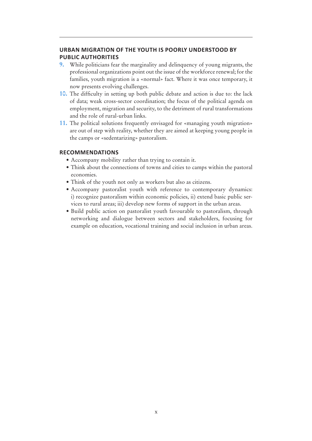# **URBAN MIGRATION OF THE YOUTH IS POORLY UNDERSTOOD BY PUBLIC AUTHORITIES**

- **9.** While politicians fear the marginality and delinquency of young migrants, the professional organizations point out the issue of the workforce renewal; for the families, youth migration is a «normal» fact. Where it was once temporary, it now presents evolving challenges.
- **10.** The difficulty in setting up both public debate and action is due to: the lack of data; weak cross-sector coordination; the focus of the political agenda on employment, migration and security, to the detriment of rural transformations and the role of rural-urban links.
- **11.** The political solutions frequently envisaged for «managing youth migration» are out of step with reality, whether they are aimed at keeping young people in the camps or «sedentarizing» pastoralism.

### **RECOMMENDATIONS**

- Accompany mobility rather than trying to contain it.
- Think about the connections of towns and cities to camps within the pastoral economies.
- • Think of the youth not only as workers but also as citizens.
- Accompany pastoralist youth with reference to contemporary dynamics: i) recognize pastoralism within economic policies, ii) extend basic public services to rural areas; iii) develop new forms of support in the urban areas.
- Build public action on pastoralist youth favourable to pastoralism, through networking and dialogue between sectors and stakeholders, focusing for example on education, vocational training and social inclusion in urban areas.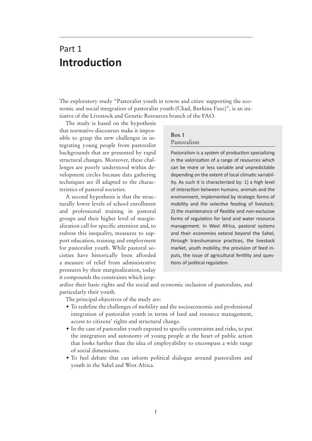# Part 1 **Introduction**

The exploratory study "Pastoralist youth in towns and cities: supporting the economic and social integration of pastoralist youth (Chad, Burkina Faso)", is an initiative of the Livestock and Genetic Resources branch of the FAO.

The study is based on the hypothesis that normative discourses make it impossible to grasp the new challenges in integrating young people from pastoralist backgrounds that are presented by rapid structural changes. Moreover, these challenges are poorly understood within development circles because data gathering techniques are ill adapted to the characteristics of pastoral societies.

A second hypothesis is that the structurally lower levels of school enrollment and professional training in pastoral groups and their higher level of marginalization call for specific attention and, to redress this inequality, measures to support education, training and employment for pastoralist youth. While pastoral societies have historically been afforded a measure of relief from administrative pressures by their marginalization, today it compounds the constraints which jeop-

#### **Box 1** Pastoralism

Pastoralism is a system of production specializing in the valorization of a range of resources which can be more or less variable and unpredictable depending on the extent of local climatic variability. As such it is characterized by: 1) a high level of interaction between humans, animals and the environment, implemented by strategic forms of mobility and the selective feeding of livestock; 2) the maintenance of flexible and non-exclusive forms of regulation for land and water resource management. In West Africa, pastoral systems and their economies extend beyond the Sahel, through transhumance practices, the livestock market, youth mobility, the provision of feed inputs, the issue of agricultural fertility and questions of political regulation.

ardize their basic rights and the social and economic inclusion of pastoralists, and particularly their youth.

The principal objectives of the study are:

- To redefine the challenges of mobility and the socioeconomic and professional integration of pastoralist youth in terms of land and resource management, access to citizens' rights and structural change.
- In the case of pastoralist youth exposed to specific constraints and risks, to put the integration and autonomy of young people at the heart of public action that looks further than the idea of employability to encompass a wide range of social dimensions.
- To fuel debate that can inform political dialogue around pastoralism and youth in the Sahel and West Africa.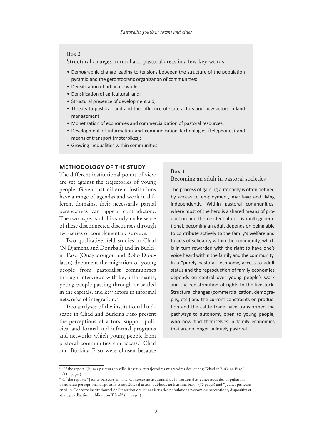Structural changes in rural and pastoral areas in a few key words

- Demographic change leading to tensions between the structure of the population pyramid and the gerontocratic organization of communities;
- Densification of urban networks;
- Densification of agricultural land;
- Structural presence of development aid;
- Threats to pastoral land and the influence of state actors and new actors in land management;
- Monetization of economies and commercialization of pastoral resources;
- Development of information and communication technologies (telephones) and means of transport (motorbikes);
- Growing inequalities within communities.

### **METHODOLOGY OF THE STUDY**

The different institutional points of view are set against the trajectories of young people. Given that different institutions have a range of agendas and work in different domains, their necessarily partial perspectives can appear contradictory. The two aspects of this study make sense of these disconnected discourses through two series of complementary surveys.

Two qualitative field studies in Chad (N'Djamena and Dourbali) and in Burkina Faso (Ouagadougou and Bobo Dioulasso) document the migration of young people from pastoralist communities through interviews with key informants, young people passing through or settled in the capitals, and key actors in informal networks of integration.3

Two analyses of the institutional landscape in Chad and Burkina Faso present the perceptions of actors, support policies, and formal and informal programs and networks which young people from pastoral communities can access.4 Chad and Burkina Faso were chosen because

#### **Box 3**

#### Becoming an adult in pastoral societies

The process of gaining autonomy is often defined by access to employment, marriage and living independently. Within pastoral communities, where most of the herd is a shared means of production and the residential unit is multi-generational, becoming an adult depends on being able to contribute actively to the family's welfare and to acts of solidarity within the community, which is in turn rewarded with the right to have one's voice heard within the family and the community. In a "purely pastoral" economy, access to adult status and the reproduction of family economies depends on control over young people's work and the redistribution of rights to the livestock. Structural changes (commercialization, demography, etc.) and the current constraints on production and the cattle trade have transformed the pathways to autonomy open to young people, who now find themselves in family economies that are no longer uniquely pastoral.

<sup>3</sup> Cf the report "Jeunes pasteurs en ville. Réseaux et trajectoires migratoires des jeunes; Tchad et Burkina Faso" (115 pages).

<sup>4</sup> Cf the reports "Jeunes pasteurs en ville. Contexte institutionnel de l'insertion des jeunes issus des populations pastorales: perceptions, dispositifs et stratégies d'action publique au Burkina Faso" (70 pages) and "Jeunes pasteurs en ville. Contexte institutionnel de l'insertion des jeunes issus des populations pastorales: perceptions, dispositifs et stratégies d'action publique au Tchad" (73 pages).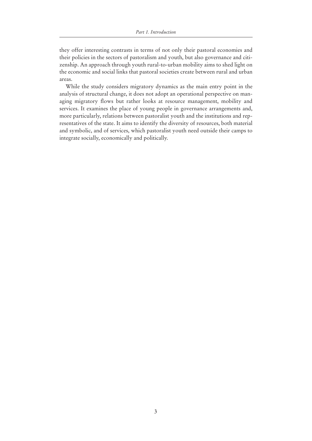they offer interesting contrasts in terms of not only their pastoral economies and their policies in the sectors of pastoralism and youth, but also governance and citizenship. An approach through youth rural-to-urban mobility aims to shed light on the economic and social links that pastoral societies create between rural and urban areas.

While the study considers migratory dynamics as the main entry point in the analysis of structural change, it does not adopt an operational perspective on managing migratory flows but rather looks at resource management, mobility and services. It examines the place of young people in governance arrangements and, more particularly, relations between pastoralist youth and the institutions and representatives of the state. It aims to identify the diversity of resources, both material and symbolic, and of services, which pastoralist youth need outside their camps to integrate socially, economically and politically.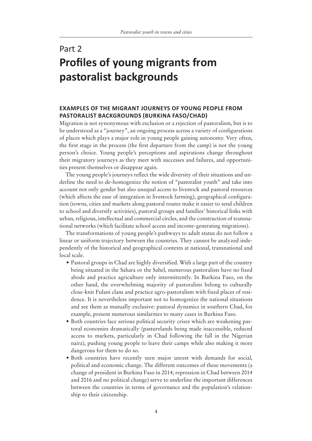# Part 2 **Profiles of young migrants from pastoralist backgrounds**

# **EXAMPLES OF THE MIGRANT JOURNEYS OF YOUNG PEOPLE FROM PASTORALIST BACKGROUNDS (BURKINA FASO/CHAD)**

Migration is not synonymous with exclusion or a rejection of pastoralism, but is to be understood as a "journey", an ongoing process across a variety of configurations of places which plays a major role in young people gaining autonomy. Very often, the first stage in the process (the first departure from the camp) is not the young person's choice. Young people's perceptions and aspirations change throughout their migratory journeys as they meet with successes and failures, and opportunities present themselves or disappear again.

The young people's journeys reflect the wide diversity of their situations and underline the need to de-homogenize the notion of "pastoralist youth" and take into account not only gender but also unequal access to livestock and pastoral resources (which affects the ease of integration in livestock farming), geographical configuration (towns, cities and markets along pastoral routes make it easier to send children to school and diversify activities), pastoral groups and families' historical links with urban, religious, intellectual and commercial circles, and the construction of transnational networks (which facilitate school access and income-generating migrations).

The transformations of young people's pathways to adult status do not follow a linear or uniform trajectory between the countries. They cannot be analyzed independently of the historical and geographical contexts at national, transnational and local scale.

- Pastoral groups in Chad are highly diversified. With a large part of the country being situated in the Sahara or the Sahel, numerous pastoralists have no fixed abode and practice agriculture only intermittently. In Burkina Faso, on the other hand, the overwhelming majority of pastoralists belong to culturally close-knit Fulani clans and practice agro-pastoralism with fixed places of residence. It is nevertheless important not to homogenize the national situations and see them as mutually exclusive: pastoral dynamics in southern Chad, for example, present numerous similarities to many cases in Burkina Faso.
- Both countries face serious political security crises which are weakening pastoral economies dramatically (pasturelands being made inaccessible, reduced access to markets, particularly in Chad following the fall in the Nigerian naira), pushing young people to leave their camps while also making it more dangerous for them to do so.
- Both countries have recently seen major unrest with demands for social, political and economic change. The different outcomes of these movements (a change of president in Burkina Faso in 2014; repression in Chad between 2014 and 2016 and no political change) serve to underline the important differences between the countries in terms of governance and the population's relationship to their citizenship.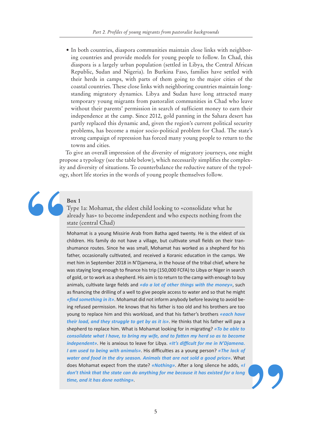• In both countries, diaspora communities maintain close links with neighboring countries and provide models for young people to follow. In Chad, this diaspora is a largely urban population (settled in Libya, the Central African Republic, Sudan and Nigeria). In Burkina Faso, families have settled with their herds in camps, with parts of them going to the major cities of the coastal countries. These close links with neighboring countries maintain longstanding migratory dynamics. Libya and Sudan have long attracted many temporary young migrants from pastoralist communities in Chad who leave without their parents' permission in search of sufficient money to earn their independence at the camp. Since 2012, gold panning in the Sahara desert has partly replaced this dynamic and, given the region's current political security problems, has become a major socio-political problem for Chad. The state's strong campaign of repression has forced many young people to return to the towns and cities.

To give an overall impression of the diversity of migratory journeys, one might propose a typology (see the table below), which necessarily simplifies the complexity and diversity of situations. To counterbalance the reductive nature of the typology, short life stories in the words of young people themselves follow.



#### **Box 1**

Type 1a: Mohamat, the eldest child looking to «consolidate what he already has» to become independent and who expects nothing from the state (central Chad)

Mohamat is a young Missirie Arab from Batha aged twenty. He is the eldest of six children. His family do not have a village, but cultivate small fields on their transhumance routes. Since he was small, Mohamat has worked as a shepherd for his father, occasionally cultivated, and received a Koranic education in the camps. We met him in September 2018 in N'Djamena, in the house of the tribal chief, where he was staying long enough to finance his trip (150,000 FCFA) to Libya or Niger in search of gold, or to work as a shepherd. His aim is to return to the camp with enough to buy animals, cultivate large fields and *«do a lot of other things with the money»*, such as financing the drilling of a well to give people access to water and so that he might *«find something in it»*. Mohamat did not inform anybody before leaving to avoid being refused permission. He knows that his father is too old and his brothers are too young to replace him and this workload, and that his father's brothers *«each have their load, and they struggle to get by as it is»*. He thinks that his father will pay a shepherd to replace him. What is Mohamat looking for in migrating? *«To be able to consolidate what I have, to bring my wife, and to fatten my herd so as to become independent»*. He is anxious to leave for Libya. *«It's difficult for me in N'Djamena. I am used to being with animals»*. His difficulties as a young person? *«The lack of water and food in the dry season. Animals that are not sold a good price»*. What does Mohamat expect from the state? *«Nothing»*. After a long silence he adds, *«I don't think that the state can do anything for me because it has existed for a long time, and it has done nothing»*.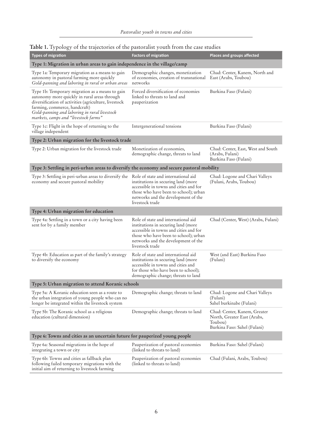# **Table 1.** Typology of the trajectories of the pastoralist youth from the case studies

| <b>Types of migration</b>                                                                                                                                                                                                                                                         | <b>Factors of migration</b>                                                                                                                                                                                             | <b>Places and groups affected</b>                                                                      |  |  |  |
|-----------------------------------------------------------------------------------------------------------------------------------------------------------------------------------------------------------------------------------------------------------------------------------|-------------------------------------------------------------------------------------------------------------------------------------------------------------------------------------------------------------------------|--------------------------------------------------------------------------------------------------------|--|--|--|
| Type 1: Migration in urban areas to gain independence in the village/camp                                                                                                                                                                                                         |                                                                                                                                                                                                                         |                                                                                                        |  |  |  |
| Type 1a: Temporary migration as a means to gain<br>autonomy in pastoral farming more quickly<br>Gold-panning and laboring in rural or urban areas                                                                                                                                 | Demographic changes, monetization<br>of economies, creation of transnational<br>networks                                                                                                                                | Chad: Center, Kanem, North and<br>East (Arabs, Toubou)                                                 |  |  |  |
| Type 1b: Temporary migration as a means to gain<br>autonomy more quickly in rural areas through<br>diversification of activities (agriculture, livestock<br>farming, commerce, handcraft)<br>Gold-panning and laboring in rural livestock<br>markets, camps and "livestock farms" | Forced diversification of economies<br>linked to threats to land and<br>pauperization                                                                                                                                   | Burkina Faso (Fulani)                                                                                  |  |  |  |
| Type 1c: Flight in the hope of returning to the<br>village independent                                                                                                                                                                                                            | Intergenerational tensions                                                                                                                                                                                              | Burkina Faso (Fulani)                                                                                  |  |  |  |
| Type 2: Urban migration for the livestock trade                                                                                                                                                                                                                                   |                                                                                                                                                                                                                         |                                                                                                        |  |  |  |
| Type 2: Urban migration for the livestock trade                                                                                                                                                                                                                                   | Monetization of economies,<br>demographic change, threats to land                                                                                                                                                       | Chad: Center, East, West and South<br>(Arabs, Fulani)<br>Burkina Faso (Fulani)                         |  |  |  |
| Type 3: Settling in peri-urban areas to diversify the economy and secure pastoral mobility                                                                                                                                                                                        |                                                                                                                                                                                                                         |                                                                                                        |  |  |  |
| Type 3: Settling in peri-urban areas to diversify the Role of state and international aid<br>economy and secure pastoral mobility                                                                                                                                                 | institutions in securing land (more<br>accessible in towns and cities and for<br>those who have been to school); urban<br>networks and the development of the<br>livestock trade                                        | Chad: Logone and Chari Valleys<br>(Fulani, Arabs, Toubou)                                              |  |  |  |
| Type 4: Urban migration for education                                                                                                                                                                                                                                             |                                                                                                                                                                                                                         |                                                                                                        |  |  |  |
| Type 4a: Settling in a town or a city having been<br>sent for by a family member                                                                                                                                                                                                  | Role of state and international aid<br>institutions in securing land (more<br>accessible in towns and cities and for<br>those who have been to school); urban<br>networks and the development of the<br>livestock trade | Chad (Center, West) (Arabs, Fulani)                                                                    |  |  |  |
| Type 4b: Education as part of the family's strategy<br>to diversify the economy                                                                                                                                                                                                   | Role of state and international aid<br>institutions in securing land (more<br>accessible in towns and cities and<br>for those who have been to school);<br>demographic change; threats to land                          | West (and East) Burkina Faso<br>(Fulani)                                                               |  |  |  |
| Type 5: Urban migration to attend Koranic schools                                                                                                                                                                                                                                 |                                                                                                                                                                                                                         |                                                                                                        |  |  |  |
| Type 5a: A Koranic education seen as a route to<br>the urban integration of young people who can no<br>longer be integrated within the livestock system                                                                                                                           | Demographic change; threats to land                                                                                                                                                                                     | Chad: Logone and Chari Valleys<br>(Fulani)<br>Sahel burkinabe (Fulani)                                 |  |  |  |
| Type 5b: The Koranic school as a religious<br>education (cultural dimension)                                                                                                                                                                                                      | Demographic change; threats to land                                                                                                                                                                                     | Chad: Center, Kanem, Greater<br>North, Greater East (Arabs,<br>Toubou)<br>Burkina Faso: Sahel (Fulani) |  |  |  |
| Type 6: Towns and cities as an uncertain future for pauperized young people                                                                                                                                                                                                       |                                                                                                                                                                                                                         |                                                                                                        |  |  |  |
| Type 6a: Seasonal migrations in the hope of<br>integrating a town or city                                                                                                                                                                                                         | Pauperization of pastoral economies<br>(linked to threats to land)                                                                                                                                                      | Burkina Faso: Sahel (Fulani)                                                                           |  |  |  |
| Type 6b: Towns and cities as fallback plan<br>following failed temporary migrations with the<br>initial aim of returning to livestock farming                                                                                                                                     | Pauperization of pastoral economies<br>(linked to threats to land)                                                                                                                                                      | Chad (Fulani, Arabs, Toubou)                                                                           |  |  |  |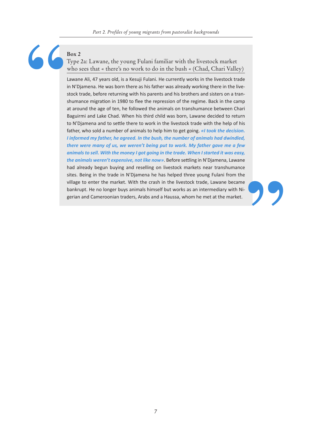Type 2a: Lawane, the young Fulani familiar with the livestock market who sees that « there's no work to do in the bush « (Chad, Chari Valley)

Lawane Ali, 47 years old, is a Kesuji Fulani. He currently works in the livestock trade in N'Djamena. He was born there as his father was already working there in the livestock trade, before returning with his parents and his brothers and sisters on a transhumance migration in 1980 to flee the repression of the regime. Back in the camp at around the age of ten, he followed the animals on transhumance between Chari Baguirmi and Lake Chad. When his third child was born, Lawane decided to return to N'Djamena and to settle there to work in the livestock trade with the help of his father, who sold a number of animals to help him to get going. *«I took the decision. I informed my father, he agreed. In the bush, the number of animals had dwindled, there were many of us, we weren't being put to work. My father gave me a few animals to sell. With the money I got going in the trade. When I started it was easy, the animals weren't expensive, not like now»*. Before settling in N'Djamena, Lawane had already begun buying and reselling on livestock markets near transhumance sites. Being in the trade in N'Djamena he has helped three young Fulani from the village to enter the market. With the crash in the livestock trade, Lawane became bankrupt. He no longer buys animals himself but works as an intermediary with Nigerian and Cameroonian traders, Arabs and a Haussa, whom he met at the market.

7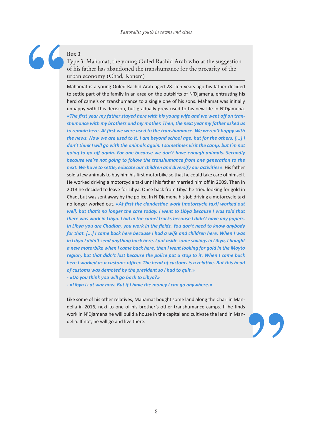Type 3: Mahamat, the young Ouled Rachid Arab who at the suggestion of his father has abandoned the transhumance for the precarity of the urban economy (Chad, Kanem)

Mahamat is a young Ouled Rachid Arab aged 28. Ten years ago his father decided to settle part of the family in an area on the outskirts of N'Djamena, entrusting his herd of camels on transhumance to a single one of his sons. Mahamat was initially unhappy with this decision, but gradually grew used to his new life in N'Djamena. *«The first year my father stayed here with his young wife and we went off on transhumance with my brothers and my mother. Then, the next year my father asked us to remain here. At first we were used to the transhumance. We weren't happy with the news. Now we are used to it. I am beyond school age, but for the others. [...] I don't think I will go with the animals again. I sometimes visit the camp, but I'm not going to go off again. For one because we don't have enough animals. Secondly because we're not going to follow the transhumance from one generation to the next. We have to settle, educate our children and diversify our activities»*. His father sold a few animals to buy him his first motorbike so that he could take care of himself. He worked driving a motorcycle taxi until his father married him off in 2009. Then in 2013 he decided to leave for Libya. Once back from Libya he tried looking for gold in Chad, but was sent away by the police. In N'Djamena his job driving a motorcycle taxi no longer worked out. *«At first the clandestine work [motorcycle taxi] worked out well, but that's no longer the case today. I went to Libya because I was told that there was work in Libya. I hid in the camel trucks because I didn't have any papers. In Libya you are Chadian, you work in the fields. You don't need to know anybody for that. [...] I came back here because I had a wife and children here. When I was in Libya I didn't send anything back here. I put aside some savings in Libya, I bought a new motorbike when I came back here, then I went looking for gold in the Moyto region, but that didn't last because the police put a stop to it. When I came back here I worked as a customs officer. The head of customs is a relative. But this head of customs was demoted by the president so I had to quit.»*

*- «Do you think you will go back to Libya?»*

*- «Libya is at war now. But if I have the money I can go anywhere.»*

Like some of his other relatives, Mahamat bought some land along the Chari in Mandelia in 2016, next to one of his brother's other transhumance camps. If he finds work in N'Djamena he will build a house in the capital and cultivate the land in Mandelia. If not, he will go and live there.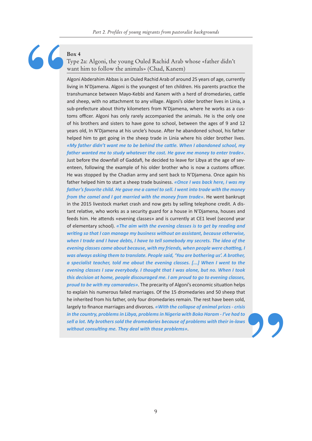Type 2a: Algoni, the young Ouled Rachid Arab whose «father didn't want him to follow the animals» (Chad, Kanem)

Algoni Abderahim Abbas is an Ouled Rachid Arab of around 25 years of age, currently living in N'Djamena. Algoni is the youngest of ten children. His parents practice the transhumance between Mayo-Kebbi and Kanem with a herd of dromedaries, cattle and sheep, with no attachment to any village. Algoni's older brother lives in Linia, a sub-prefecture about thirty kilometers from N'Djamena, where he works as a customs officer. Algoni has only rarely accompanied the animals. He is the only one of his brothers and sisters to have gone to school, between the ages of 9 and 12 years old, In N'Djamena at his uncle's house. After he abandoned school, his father helped him to get going in the sheep trade in Linia where his older brother lives. *«My father didn't want me to be behind the cattle. When I abandoned school, my father wanted me to study whatever the cost. He gave me money to enter trade»*. Just before the downfall of Gaddafi, he decided to leave for Libya at the age of seventeen, following the example of his older brother who is now a customs officer. He was stopped by the Chadian army and sent back to N'Djamena. Once again his father helped him to start a sheep trade business. *«Once I was back here, I was my father's favorite child. He gave me a camel to sell. I went into trade with the money from the camel and I got married with the money from trade»*. He went bankrupt in the 2015 livestock market crash and now gets by selling telephone credit. A distant relative, who works as a security guard for a house in N'Djamena, houses and feeds him. He attends «evening classes» and is currently at CE1 level (second year of elementary school). *«The aim with the evening classes is to get by reading and writing so that I can manage my business without an assistant, because otherwise, when I trade and I have debts, I have to tell somebody my secrets. The idea of the evening classes came about because, with my friends, when people were chatting, I was always asking them to translate. People said, 'You are bothering us'. A brother, a specialist teacher, told me about the evening classes. [...] When I went to the evening classes I saw everybody. I thought that I was alone, but no. When I took this decision at home, people discouraged me. I am proud to go to evening classes, proud to be with my camarades»*. The precarity of Algoni's economic situation helps to explain his numerous failed marriages. Of the 15 dromedaries and 50 sheep that he inherited from his father, only four dromedaries remain. The rest have been sold, largely to finance marriages and divorces. *«With the collapse of animal prices - crisis in the country, problems in Libya, problems in Nigeria with Boko Haram - I've had to sell a lot. My brothers sold the dromedaries because of problems with their in-laws without consulting me. They deal with those problems»*.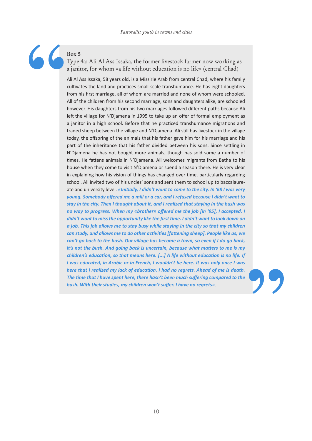Type 4a: Ali Al Ass Issaka, the former livestock farmer now working as a janitor, for whom «a life without education is no life» (central Chad)

**Box 5**

Ali Al Ass Issaka, 58 years old, is a Missirie Arab from central Chad, where his family cultivates the land and practices small-scale transhumance. He has eight daughters from his first marriage, all of whom are married and none of whom were schooled. All of the children from his second marriage, sons and daughters alike, are schooled however. His daughters from his two marriages followed different paths because Ali left the village for N'Djamena in 1995 to take up an offer of formal employment as a janitor in a high school. Before that he practiced transhumance migrations and traded sheep between the village and N'Djamena. Ali still has livestock in the village today, the offspring of the animals that his father gave him for his marriage and his part of the inheritance that his father divided between his sons. Since settling in N'Djamena he has not bought more animals, though has sold some a number of times. He fattens animals in N'Djamena. Ali welcomes migrants from Batha to his house when they come to visit N'Djamena or spend a season there. He is very clear in explaining how his vision of things has changed over time, particularly regarding school. Ali invited two of his uncles' sons and sent them to school up to baccalaureate and university level. *«Initially, I didn't want to come to the city. In '68 I was very young. Somebody offered me a mill or a car, and I refused because I didn't want to stay in the city. Then I thought about it, and I realized that staying in the bush was no way to progress. When my «brother» offered me the job [in '95], I accepted. I didn't want to miss the opportunity like the first time. I didn't want to look down on a job. This job allows me to stay busy while staying in the city so that my children can study, and allows me to do other activities [fattening sheep]. People like us, we can't go back to the bush. Our village has become a town, so even if I do go back, it's not the bush. And going back is uncertain, because what matters to me is my children's education, so that means here. [...] A life without education is no life. If I was educated, in Arabic or in French, I wouldn't be here. It was only once I was here that I realized my lack of education. I had no regrets. Ahead of me is death. The time that I have spent here, there hasn't been much suffering compared to the bush. With their studies, my children won't suffer. I have no regrets»*.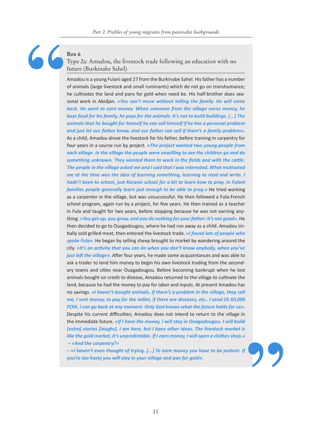**Box 6** Type 2a: Amadou, the livestock trade following an education with no future (Burkinabe Sahel)

Amadou is a young Fulani aged 27 from the Burkinabe Sahel. His father has a number of animals (large livestock and small ruminants) which do not go on transhumance; he cultivates the land and pans for gold when need be. His half-brother does seasonal work in Abidjan. *«You can't move without telling the family. He will come back. He went to earn money. When someone from the village earns money, he buys food for his family, he pays for the animals. It's not to build buildings. [...] The animals that he bought for himself he can sell himself if he has a personal problem and just let our father know, and our father can sell if there's a family problem»*. As a child, Amadou drove the livestock for his father, before training in carpentry for four years in a course run by project. *«The project wanted two young people from each village. In the village the people were unwilling to see the children go and do something unknown. They wanted them to work in the fields and with the cattle. The people in the village asked me and I said that I was interested. What motivated me at the time was the idea of learning something, learning to read and write. I hadn't been to school, just Koranic school for a bit to learn how to pray. In Fulani families people generally learn just enough to be able to pray.»* He tried working as a carpenter in the village, but was unsuccessful. He then followed a Fula-French school program, again run by a project, for five years. He then trained as a teacher in Fula and taught for two years, before stopping because he was not earning anything. *«You get up, you grow, and you do nothing for your father: it's not good»*. He then decided to go to Ouagadougou, where he had run away as a child. Amadou initially sold grilled meat, then entered the livestock trade. *«I found lots of people who spoke Fula»*. He began by selling sheep brought to market by wandering around the city. *«It's an activity that you can do when you don't know anybody, when you've just left the village»*. After four years, he made some acquaintances and was able to ask a trader to lend him money to begin his own livestock trading from the secondary towns and cities near Ouagadougou. Before becoming bankrupt when he lost animals bought on credit to disease, Amadou returned to the village to cultivate the land, because he had the money to pay for labor and inputs. At present Amadou has no savings. *«I haven't bought animals. If there's a problem in the village, they call me, I sent money, to pay for the millet, if there are diseases, etc.. I send 35-50,000 FCFA. I can go back at any moment. Only God knows what the future holds for us»*. Despite his current difficulties, Amadou does not intend to return to the village in the immediate future. *«If I have the money, I will stay in Ouagadougou. I will build [extra] stories [laughs]. I am here, but I have other ideas. The livestock market is like the gold market, it's unpredictable. If I earn money, I will open a clothes shop.» – «And the carpentry?»* 

*– «I haven't even thought of trying. [...] To earn money you have to be patient. If you're too hasty you will stay in your village and pan for gold»*.

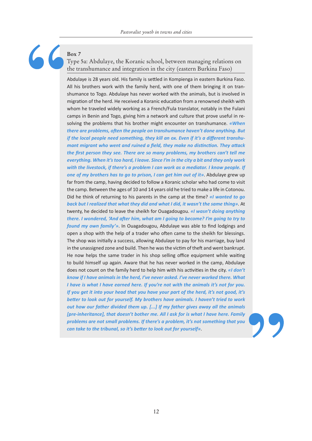**Box 7** Type 5a: Abdulaye, the Koranic school, between managing relations on the transhumance and integration in the city (eastern Burkina Faso)

Abdulaye is 28 years old. His family is settled in Kompienga in eastern Burkina Faso. All his brothers work with the family herd, with one of them bringing it on transhumance to Togo. Abdulaye has never worked with the animals, but is involved in migration of the herd. He received a Koranic education from a renowned sheikh with whom he traveled widely working as a French/Fula translator, notably in the Fulani camps in Benin and Togo, giving him a network and culture that prove useful in resolving the problems that his brother might encounter on transhumance. *«When there are problems, often the people on transhumance haven't done anything. But if the local people need something, they kill an ox. Even if it's a different transhumant migrant who went and ruined a field, they make no distinction. They attack the first person they see. There are so many problems, my brothers can't tell me everything. When it's too hard, I leave. Since I'm in the city a bit and they only work with the livestock, if there's a problem I can work as a mediator. I know people. If one of my brothers has to go to prison, I can get him out of it»*. Abdulaye grew up far from the camp, having decided to follow a Koranic scholar who had come to visit the camp. Between the ages of 10 and 14 years old he tried to make a life in Cotonou. Did he think of returning to his parents in the camp at the time? *«I wanted to go back but I realized that what they did and what I did, it wasn't the same thing»*. At twenty, he decided to leave the sheikh for Ouagadougou. *«I wasn't doing anything there. I wondered, 'And after him, what am I going to become? I'm going to try to found my own family'»*. In Ouagadougou, Abdulaye was able to find lodgings and open a shop with the help of a trader who often came to the sheikh for blessings. The shop was initially a success, allowing Abdulaye to pay for his marriage, buy land in the unassigned zone and build. Then he was the victim of theft and went bankrupt. He now helps the same trader in his shop selling office equipment while waiting to build himself up again. Aware that he has never worked in the camp, Abdulaye does not count on the family herd to help him with his activities in the city. *«I don't know if I have animals in the herd, I've never asked. I've never worked there. What I have is what I have earned here. If you're not with the animals it's not for you. If you get it into your head that you have your part of the herd, it's not good, it's better to look out for yourself. My brothers have animals. I haven't tried to work out how our father divided them up. [...] If my father gives away all the animals [pre-inheritance], that doesn't bother me. All I ask for is what I have here. Family problems are not small problems. If there's a problem, it's not something that you can take to the tribunal, so it's better to look out for yourself»*.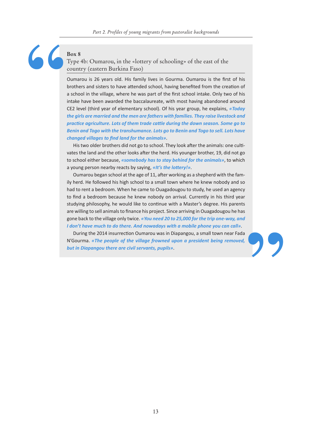Type 4b: Oumarou, in the «lottery of schooling» of the east of the country (eastern Burkina Faso)

Oumarou is 26 years old. His family lives in Gourma. Oumarou is the first of his brothers and sisters to have attended school, having benefited from the creation of a school in the village, where he was part of the first school intake. Only two of his intake have been awarded the baccalaureate, with most having abandoned around CE2 level (third year of elementary school). Of his year group, he explains, *«Today the girls are married and the men are fathers with families. They raise livestock and practice agriculture. Lots of them trade cattle during the down season. Some go to Benin and Togo with the transhumance. Lots go to Benin and Togo to sell. Lots have changed villages to find land for the animals»*.

His two older brothers did not go to school. They look after the animals: one cultivates the land and the other looks after the herd. His younger brother, 19, did not go to school either because, *«somebody has to stay behind for the animals»*, to which a young person nearby reacts by saying, *«It's the lottery!»*.

Oumarou began school at the age of 11, after working as a shepherd with the family herd. He followed his high school to a small town where he knew nobody and so had to rent a bedroom. When he came to Ouagadougou to study, he used an agency to find a bedroom because he knew nobody on arrival. Currently in his third year studying philosophy, he would like to continue with a Master's degree. His parents are willing to sell animals to finance his project. Since arriving in Ouagadougou he has gone back to the village only twice. *«You need 20 to 25,000 for the trip one-way, and I don't have much to do there. And nowadays with a mobile phone you can call»*.

During the 2014 insurrection Oumarou was in Diapangou, a small town near Fada N'Gourma. *«The people of the village frowned upon a president being removed, but in Diapangou there are civil servants, pupils»*.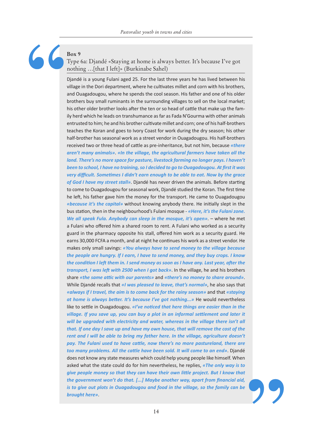$\overline{\phantom{a}}$ **Box 9**

Type 6a: Djandé «Staying at home is always better. It's because I've got nothing …[that I left]» (Burkinabe Sahel)

Djandé is a young Fulani aged 25. For the last three years he has lived between his village in the Dori department, where he cultivates millet and corn with his brothers, and Ouagadougou, where he spends the cool season. His father and one of his older brothers buy small ruminants in the surrounding villages to sell on the local market; his other older brother looks after the ten or so head of cattle that make up the family herd which he leads on transhumance as far as Fada N'Gourma with other animals entrusted to him; he and his brother cultivate millet and corn; one of his half-brothers teaches the Koran and goes to Ivory Coast for work during the dry season; his other half-brother has seasonal work as a street vendor in Ouagadougou. His half-brothers received two or three head of cattle as pre-inheritance, but not him, because *«there aren't many animals»*. *«In the village, the agricultural farmers have taken all the land. There's no more space for pasture, livestock farming no longer pays. I haven't been to school, I have no training, so I decided to go to Ouagadougou. At first it was very difficult. Sometimes I didn't earn enough to be able to eat. Now by the grace of God I have my street stall»*. Djandé has never driven the animals. Before starting to come to Ouagadougou for seasonal work, Djandé studied the Koran. The first time he left, his father gave him the money for the transport. He came to Ouagadougou *«because it's the capital»* without knowing anybody there. He initially slept in the bus station, then in the neighbourhood's Fulani mosque - *«Here, it's the Fulani zone. We all speak Fula. Anybody can sleep in the mosque, it's open»*. – where he met a Fulani who offered him a shared room to rent. A Fulani who worked as a security guard in the pharmacy opposite his stall, offered him work as a security guard. He earns 30,000 FCFA a month, and at night he continues his work as a street vendor. He makes only small savings: *«You always have to send money to the village because the people are hungry. If I earn, I have to send money, and they buy crops. I know the condition I left them in. I send money as soon as I have any. Last year, after the transport, I was left with 2500 when I got back»*. In the village, he and his brothers share *«the same attic with our parents»* and *«there's no money to share around»*. While Djandé recalls that *«I was pleased to leave, that's normal»*, he also says that *«always if I travel, the aim is to come back for the rainy season»* and that *«staying at home is always better. It's because I've got nothing...»* He would nevertheless like to settle in Ouagadougou. *«I've noticed that here things are easier than in the village. If you save up, you can buy a plot in an informal settlement and later it*  will be upgraded with electricity and water, whereas in the village there isn't all *that. If one day I save up and have my own house, that will remove the cost of the rent and I will be able to bring my father here. In the village, agriculture doesn't pay. The Fulani used to have cattle, now there's no more pastureland, there are too many problems. All the cattle have been sold. It will come to an end»*. Djandé does not know any state measures which could help young people like himself. When asked what the state could do for him nevertheless, he replies, *«The only way is to give people money so that they can have their own little project. But I know that the government won't do that. [...] Maybe another way, apart from financial aid, is to give out plots in Ouagadougou and food in the village, so the family can be brought here»*.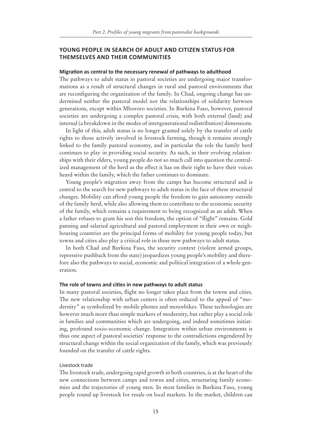# **YOUNG PEOPLE IN SEARCH OF ADULT AND CITIZEN STATUS FOR THEMSELVES AND THEIR COMMUNITIES**

#### **Migration as central to the necessary renewal of pathways to adulthood**

The pathways to adult status in pastoral societies are undergoing major transformations as a result of structural changes in rural and pastoral environments that are reconfiguring the organization of the family. In Chad, ongoing change has undermined neither the pastoral model nor the relationships of solidarity between generations, except within Mbororo societies. In Burkina Faso, however, pastoral societies are undergoing a complex pastoral crisis, with both external (land) and internal (a breakdown in the modes of intergenerational redistribution) dimensions.

In light of this, adult status is no longer granted solely by the transfer of cattle rights to those actively involved in livestock farming, though it remains strongly linked to the family pastoral economy, and in particular the role the family herd continues to play in providing social security. As such, in their evolving relationships with their elders, young people do not so much call into question the centralized management of the herd as the effect it has on their right to have their voices heard within the family, which the father continues to dominate.

Young people's migration away from the camps has become structural and is central to the search for new pathways to adult status in the face of these structural changes. Mobility can afford young people the freedom to gain autonomy outside of the family herd, while also allowing them to contribute to the economic security of the family, which remains a requirement to being recognized as an adult. When a father refuses to grant his son this freedom, the option of "flight" remains. Gold panning and salaried agricultural and pastoral employment in their own or neighbouring countries are the principal forms of mobility for young people today, but towns and cities also play a critical role in these new pathways to adult status.

In both Chad and Burkina Faso, the security context (violent armed groups, repressive pushback from the state) jeopardizes young people's mobility and therefore also the pathways to social, economic and political integration of a whole generation.

#### **The role of towns and cities in new pathways to adult status**

In many pastoral societies, flight no longer takes place from the towns and cities. The new relationship with urban centers is often reduced to the appeal of "modernity" as symbolized by mobile phones and motorbikes. These technologies are however much more than simple markers of modernity, but rather play a social role in families and communities which are undergoing, and indeed sometimes initiating, profound socio-economic change. Integration within urban environments is thus one aspect of pastoral societies' response to the contradictions engendered by structural change within the social organization of the family, which was previously founded on the transfer of cattle rights.

#### Livestock trade

The livestock trade, undergoing rapid growth in both countries, is at the heart of the new connections between camps and towns and cities, structuring family economies and the trajectories of young men. In most families in Burkina Faso, young people round up livestock for resale on local markets. In the market, children can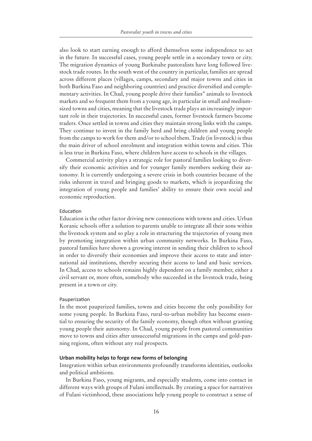also look to start earning enough to afford themselves some independence to act in the future. In successful cases, young people settle in a secondary town or city. The migration dynamics of young Burkinabe pastoralists have long followed livestock trade routes. In the south west of the country in particular, families are spread across different places (villages, camps, secondary and major towns and cities in both Burkina Faso and neighboring countries) and practice diversified and complementary activities. In Chad, young people drive their families'' animals to livestock markets and so frequent them from a young age, in particular in small and mediumsized towns and cities, meaning that the livestock trade plays an increasingly important role in their trajectories. In successful cases, former livestock farmers become traders. Once settled in towns and cities they maintain strong links with the camps. They continue to invest in the family herd and bring children and young people from the camps to work for them and/or to school them. Trade (in livestock) is thus the main driver of school enrolment and integration within towns and cities. This is less true in Burkina Faso, where children have access to schools in the villages.

Commercial activity plays a strategic role for pastoral families looking to diversify their economic activities and for younger family members seeking their autonomy. It is currently undergoing a severe crisis in both countries because of the risks inherent in travel and bringing goods to markets, which is jeopardizing the integration of young people and families' ability to ensure their own social and economic reproduction.

#### Education

Education is the other factor driving new connections with towns and cities. Urban Koranic schools offer a solution to parents unable to integrate all their sons within the livestock system and so play a role in structuring the trajectories of young men by promoting integration within urban community networks. In Burkina Faso, pastoral families have shown a growing interest in sending their children to school in order to diversify their economies and improve their access to state and international aid institutions, thereby securing their access to land and basic services. In Chad, access to schools remains highly dependent on a family member, either a civil servant or, more often, somebody who succeeded in the livestock trade, being present in a town or city.

#### Pauperization

In the most pauperized families, towns and cities become the only possibility for some young people. In Burkina Faso, rural-to-urban mobility has become essential to ensuring the security of the family economy, though often without granting young people their autonomy. In Chad, young people from pastoral communities move to towns and cities after unsuccessful migrations in the camps and gold-panning regions, often without any real prospects.

### **Urban mobility helps to forge new forms of belonging**

Integration within urban environments profoundly transforms identities, outlooks and political ambitions.

In Burkina Faso, young migrants, and especially students, come into contact in different ways with groups of Fulani intellectuals. By creating a space for narratives of Fulani victimhood, these associations help young people to construct a sense of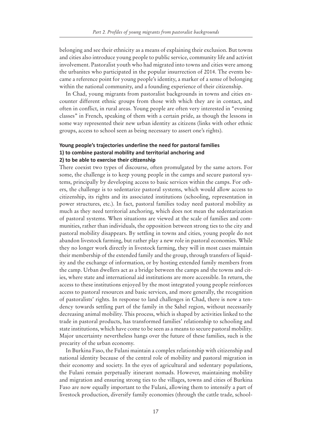belonging and see their ethnicity as a means of explaining their exclusion. But towns and cities also introduce young people to public service, community life and activist involvement. Pastoralist youth who had migrated into towns and cities were among the urbanites who participated in the popular insurrection of 2014. The events became a reference point for young people's identity, a marker of a sense of belonging within the national community, and a founding experience of their citizenship.

In Chad, young migrants from pastoralist backgrounds in towns and cities encounter different ethnic groups from those with which they are in contact, and often in conflict, in rural areas. Young people are often very interested in "evening classes" in French, speaking of them with a certain pride, as though the lessons in some way represented their new urban identity as citizens (links with other ethnic groups, access to school seen as being necessary to assert one's rights).

### **Young people's trajectories underline the need for pastoral families 1) to combine pastoral mobility and territorial anchoring and 2) to be able to exercise their citizenship**

There coexist two types of discourse, often promulgated by the same actors. For some, the challenge is to keep young people in the camps and secure pastoral systems, principally by developing access to basic services within the camps. For others, the challenge is to sedentarize pastoral systems, which would allow access to citizenship, its rights and its associated institutions (schooling, representation in power structures, etc.). In fact, pastoral families today need pastoral mobility as much as they need territorial anchoring, which does not mean the sedentarization of pastoral systems. When situations are viewed at the scale of families and communities, rather than individuals, the opposition between strong ties to the city and pastoral mobility disappears. By settling in towns and cities, young people do not abandon livestock farming, but rather play a new role in pastoral economies. While they no longer work directly in livestock farming, they will in most cases maintain their membership of the extended family and the group, through transfers of liquidity and the exchange of information, or by hosting extended family members from the camp. Urban dwellers act as a bridge between the camps and the towns and cities, where state and international aid institutions are more accessible. In return, the access to these institutions enjoyed by the most integrated young people reinforces access to pastoral resources and basic services, and more generally, the recognition of pastoralists' rights. In response to land challenges in Chad, there is now a tendency towards settling part of the family in the Sahel region, without necessarily decreasing animal mobility. This process, which is shaped by activities linked to the trade in pastoral products, has transformed families' relationship to schooling and state institutions, which have come to be seen as a means to secure pastoral mobility. Major uncertainty nevertheless hangs over the future of these families, such is the precarity of the urban economy.

In Burkina Faso, the Fulani maintain a complex relationship with citizenship and national identity because of the central role of mobility and pastoral migration in their economy and society. In the eyes of agricultural and sedentary populations, the Fulani remain perpetually itinerant nomads. However, maintaining mobility and migration and ensuring strong ties to the villages, towns and cities of Burkina Faso are now equally important to the Fulani, allowing them to intensify a part of livestock production, diversify family economies (through the cattle trade, school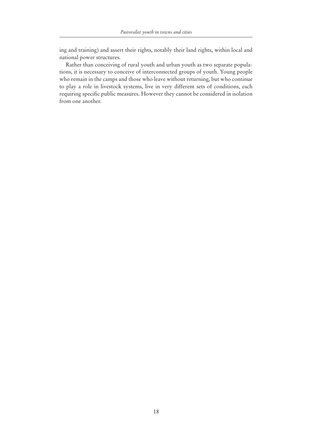ing and training) and assert their rights, notably their land rights, within local and national power structures.

Rather than conceiving of rural youth and urban youth as two separate populations, it is necessary to conceive of interconnected groups of youth. Young people who remain in the camps and those who leave without returning, but who continue to play a role in livestock systems, live in very different sets of conditions, each requiring specific public measures. However they cannot be considered in isolation from one another.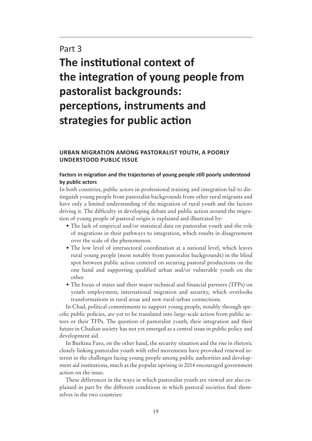# Part 3

# **The institutional context of the integration of young people from pastoralist backgrounds: perceptions, instruments and strategies for public action**

# **URBAN MIGRATION AMONG PASTORALIST YOUTH, A POORLY UNDERSTOOD PUBLIC ISSUE**

# **Factors in migration and the trajectories of young people still poorly understood by public actors**

In both countries, public actors in professional training and integration fail to distinguish young people from pastoralist backgrounds from other rural migrants and have only a limited understanding of the migration of rural youth and the factors driving it. The difficulty in developing debate and public action around the migration of young people of pastoral origin is explained and illustrated by:

- The lack of empirical and/or statistical data on pastoralist youth and the role of migrations in their pathways to integration, which results in disagreement over the scale of the phenomenon.
- • The low level of intersectoral coordination at a national level, which leaves rural young people (most notably from pastoralist backgrounds) in the blind spot between public action centered on securing pastoral productions on the one hand and supporting qualified urban and/or vulnerable youth on the other.
- The focus of states and their major technical and financial partners (TFPs) on youth employment, international migration and security, which overlooks transformations in rural areas and new rural-urban connections.

In Chad, political commitments to support young people, notably through specific public policies, are yet to be translated into large-scale action from public actors or their TFPs. The question of pastoralist youth, their integration and their future in Chadian society has not yet emerged as a central issue in public policy and development aid.

In Burkina Faso, on the other hand, the security situation and the rise in rhetoric closely linking pastoralist youth with rebel movements have provoked renewed interest in the challenges facing young people among public authorities and development aid institutions, much as the popular uprising in 2014 encouraged government action on the issue.

These differences in the ways in which pastoralist youth are viewed are also explained in part by the different conditions in which pastoral societies find themselves in the two countries: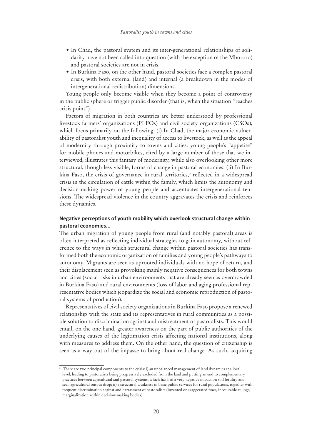- In Chad, the pastoral system and its inter-generational relationships of solidarity have not been called into question (with the exception of the Mbororo) and pastoral societies are not in crisis.
- In Burkina Faso, on the other hand, pastoral societies face a complex pastoral crisis, with both external (land) and internal (a breakdown in the modes of intergenerational redistribution) dimensions.

Young people only become visible when they become a point of controversy in the public sphere or trigger public disorder (that is, when the situation "reaches crisis point").

Factors of migration in both countries are better understood by professional livestock farmers' organizations (PLFOs) and civil society organizations (CSOs), which focus primarily on the following: (i) In Chad, the major economic vulnerability of pastoralist youth and inequality of access to livestock, as well as the appeal of modernity through proximity to towns and cities: young people's "appetite" for mobile phones and motorbikes, cited by a large number of those that we interviewed, illustrates this fantasy of modernity, while also overlooking other more structural, though less visible, forms of change in pastoral economies. (ii) In Burkina Faso, the crisis of governance in rural territories, $3$  reflected in a widespread crisis in the circulation of cattle within the family, which limits the autonomy and decision-making power of young people and accentuates intergenerational tensions. The widespread violence in the country aggravates the crisis and reinforces these dynamics.

### **Negative perceptions of youth mobility which overlook structural change within pastoral economies...**

The urban migration of young people from rural (and notably pastoral) areas is often interpreted as reflecting individual strategies to gain autonomy, without reference to the ways in which structural change within pastoral societies has transformed both the economic organization of families and young people's pathways to autonomy. Migrants are seen as uprooted individuals with no hope of return, and their displacement seen as provoking mainly negative consequences for both towns and cities (social risks in urban environments that are already seen as overcrowded in Burkina Faso) and rural environments (loss of labor and aging professional representative bodies which jeopardize the social and economic reproduction of pastoral systems of production).

Representatives of civil society organizations in Burkina Faso propose a renewed relationship with the state and its representatives in rural communities as a possible solution to discrimination against and mistreatment of pastoralists. This would entail, on the one hand, greater awareness on the part of public authorities of the underlying causes of the legitimation crisis affecting national institutions, along with measures to address them. On the other hand, the question of citizenship is seen as a way out of the impasse to bring about real change. As such, acquiring

<sup>&</sup>lt;sup>3</sup> There are two principal components to the crisis: i) an unbalanced management of land dynamics at a local level, leading to pastoralists being progressively excluded from the land and putting an end to complementary practices between agricultural and pastoral systems, which has had a very negative impact on soil fertility and seen agricultural output drop; ii) a structural weakness in basic public services for rural populations, together with frequent discrimination against and harrasment of pastoralists (invented or exaggerated fines, inequitable rulings, marginalization within decision-making bodies).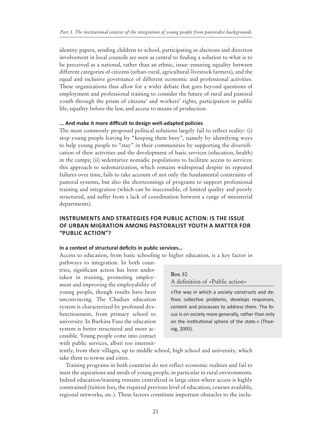identity papers, sending children to school, participating in elections and direction involvement in local councils are seen as central to finding a solution to what is to be perceived as a national, rather than an ethnic, issue: ensuring equality between different categories of citizens (urban-rural, agricultural-livestock farmers), and the equal and inclusive governance of different economic and professional activities. These organizations thus allow for a wider debate that goes beyond questions of employment and professional training to consider the future of rural and pastoral youth through the prism of citizens' and workers' rights, participation in public life, equality before the law, and access to means of production.

#### **... And make it more difficult to design well-adapted policies**

The most commonly proposed political solutions largely fail to reflect reality: (i) stop young people leaving by "keeping them busy", namely by identifying ways to help young people to "stay" in their communities by supporting the diversification of their activities and the development of basic services (education, health) in the camps; (ii) sedentarize nomadic populations to facilitate access to services: this approach to sedentarization, which remains widespread despite its repeated failures over time, fails to take account of not only the fundamental constraints of pastoral systems, but also the shortcomings of programs to support professional training and integration (which can be inaccessible, of limited quality and poorly structured, and suffer from a lack of coordination between a range of ministerial departments).

# **INSTRUMENTS AND STRATEGIES FOR PUBLIC ACTION: IS THE ISSUE OF URBAN MIGRATION AMONG PASTORALIST YOUTH A MATTER FOR "PUBLIC ACTION"?**

#### **In a context of structural deficits in public services…**

Access to education, from basic schooling to higher education, is a key factor in

pathways to integration. In both countries, significant action has been undertaken in training, promoting employment and improving the employability of young people, though results have been unconvincing. The Chadian education system is characterized by profound dysfunctionment, from primary school to university. In Burkina Faso the education system is better structured and more accessible. Young people come into contact with public services, albeit too intermit-

### **Box 10** A definition of «Public action»

«The way in which a society constructs and defines collective problems, develops responses, content and processes to address them. The focus is on society more generally, rather than only on the institutional sphere of the state.» (Thoenig, 2005).

tently, from their villages, up to middle school, high school and university, which take them to towns and cities.

Training programs in both countries do not reflect economic realities and fail to meet the aspirations and needs of young people, in particular in rural environments. Indeed education/training remains centralized in large cities where access is highly constrained (tuition fees, the required previous level of education, courses available, regional networks, etc.). These factors constitute important obstacles to the inclu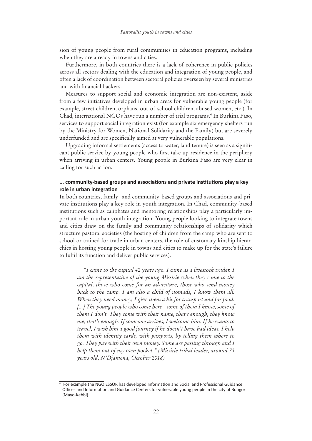sion of young people from rural communities in education programs, including when they are already in towns and cities.

Furthermore, in both countries there is a lack of coherence in public policies across all sectors dealing with the education and integration of young people, and often a lack of coordination between sectoral policies overseen by several ministries and with financial backers.

Measures to support social and economic integration are non-existent, aside from a few initiatives developed in urban areas for vulnerable young people (for example, street children, orphans, out-of-school children, abused women, etc.). In Chad, international NGOs have run a number of trial programs.<sup>4</sup> In Burkina Faso, services to support social integration exist (for example six emergency shelters run by the Ministry for Women, National Solidarity and the Family) but are severely underfunded and are specifically aimed at very vulnerable populations.

Upgrading informal settlements (access to water, land tenure) is seen as a significant public service by young people who first take up residence in the periphery when arriving in urban centers. Young people in Burkina Faso are very clear in calling for such action.

### **... community-based groups and associations and private institutions play a key role in urban integration**

In both countries, family- and community-based groups and associations and private institutions play a key role in youth integration. In Chad, community-based institutions such as caliphates and mentoring relationships play a particularly important role in urban youth integration. Young people looking to integrate towns and cities draw on the family and community relationships of solidarity which structure pastoral societies (the hosting of children from the camp who are sent to school or trained for trade in urban centers, the role of customary kinship hierarchies in hosting young people in towns and cities to make up for the state's failure to fulfil its function and deliver public services).

*"I came to the capital 42 years ago. I came as a livestock trader. I am the representative of the young Missirie when they come to the capital, those who come for an adventure, those who send money back to the camp. I am also a child of nomads, I know them all. When they need money, I give them a bit for transport and for food. [...] The young people who come here - some of them I know, some of them I don't. They come with their name, that's enough, they know me, that's enough. If someone arrives, I welcome him. If he wants to travel, I wish him a good journey if he doesn't have bad ideas. I help them with identity cards, with passports, by telling them where to go. They pay with their own money. Some are passing through and I help them out of my own pocket." (Missirie tribal leader, around 75 years old, N'Djamena, October 2018).*

<sup>4</sup> For example the NGO ESSOR has developed Information and Social and Professional Guidance Offices and Information and Guidance Centers for vulnerable young people in the city of Bongor (Mayo-Kebbi).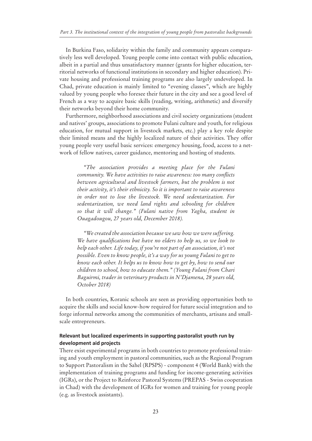In Burkina Faso, solidarity within the family and community appears comparatively less well developed. Young people come into contact with public education, albeit in a partial and thus unsatisfactory manner (grants for higher education, territorial networks of functional institutions in secondary and higher education). Private housing and professional training programs are also largely undeveloped. In Chad, private education is mainly limited to "evening classes", which are highly valued by young people who foresee their future in the city and see a good level of French as a way to acquire basic skills (reading, writing, arithmetic) and diversify their networks beyond their home community.

Furthermore, neighborhood associations and civil society organizations (student and natives' groups, associations to promote Fulani culture and youth, for religious education, for mutual support in livestock markets, etc.) play a key role despite their limited means and the highly localized nature of their activities. They offer young people very useful basic services: emergency housing, food, access to a network of fellow natives, career guidance, mentoring and hosting of students.

*"The association provides a meeting place for the Fulani community. We have activities to raise awareness: too many conflicts between agricultural and livestock farmers, but the problem is not their activity, it's their ethnicity. So it is important to raise awareness in order not to lose the livestock. We need sedentarization. For sedentarization, we need land rights and schooling for children so that it will change." (Fulani native from Yagha, student in Ouagadougou, 27 years old, December 2018).*

*"We created the association because we saw how we were suffering. We have qualifications but have no elders to help us, so we look to help each other. Life today, if you're not part of an association, it's not possible. Even to know people, it's a way for us young Fulani to get to know each other. It helps us to know how to get by, how to send our children to school, how to educate them." (Young Fulani from Chari Baguirmi, trader in veterinary products in N'Djamena, 28 years old, October 2018)*

In both countries, Koranic schools are seen as providing opportunities both to acquire the skills and social know-how required for future social integration and to forge informal networks among the communities of merchants, artisans and smallscale entrepreneurs.

## **Relevant but localized experiments in supporting pastoralist youth run by development aid projects**

There exist experimental programs in both countries to promote professional training and youth employment in pastoral communities, such as the Regional Program to Support Pastoralism in the Sahel (RPSPS) - component 4 (World Bank) with the implementation of training programs and funding for income-generating activities (IGRs), or the Project to Reinforce Pastoral Systems (PREPAS - Swiss cooperation in Chad) with the development of IGRs for women and training for young people (e.g. as livestock assistants).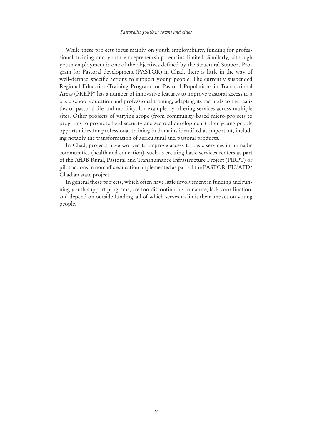While these projects focus mainly on youth employability, funding for professional training and youth entrepreneurship remains limited. Similarly, although youth employment is one of the objectives defined by the Structural Support Program for Pastoral development (PASTOR) in Chad, there is little in the way of well-defined specific actions to support young people. The currently suspended Regional Education/Training Program for Pastoral Populations in Transnational Areas (PREPP) has a number of innovative features to improve pastoral access to a basic school education and professional training, adapting its methods to the realities of pastoral life and mobility, for example by offering services across multiple sites. Other projects of varying scope (from community-based micro-projects to programs to promote food security and sectoral development) offer young people opportunities for professional training in domains identified as important, including notably the transformation of agricultural and pastoral products.

In Chad, projects have worked to improve access to basic services in nomadic communities (health and education), such as creating basic services centers as part of the AfDB Rural, Pastoral and Transhumance Infrastructure Project (PIRPT) or pilot actions in nomadic education implemented as part of the PASTOR-EU/AFD/ Chadian state project.

In general these projects, which often have little involvement in funding and running youth support programs, are too discontinuous in nature, lack coordination, and depend on outside funding, all of which serves to limit their impact on young people.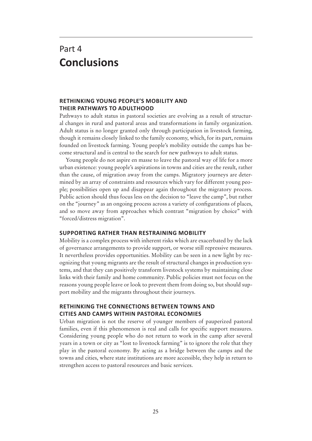# Part 4 **Conclusions**

### **RETHINKING YOUNG PEOPLE'S MOBILITY AND THEIR PATHWAYS TO ADULTHOOD**

Pathways to adult status in pastoral societies are evolving as a result of structural changes in rural and pastoral areas and transformations in family organization. Adult status is no longer granted only through participation in livestock farming, though it remains closely linked to the family economy, which, for its part, remains founded on livestock farming. Young people's mobility outside the camps has become structural and is central to the search for new pathways to adult status.

Young people do not aspire en masse to leave the pastoral way of life for a more urban existence: young people's aspirations in towns and cities are the result, rather than the cause, of migration away from the camps. Migratory journeys are determined by an array of constraints and resources which vary for different young people; possibilities open up and disappear again throughout the migratory process. Public action should thus focus less on the decision to "leave the camp", but rather on the "journey" as an ongoing process across a variety of configurations of places, and so move away from approaches which contrast "migration by choice" with "forced/distress migration".

#### **SUPPORTING RATHER THAN RESTRAINING MOBILITY**

Mobility is a complex process with inherent risks which are exacerbated by the lack of governance arrangements to provide support, or worse still repressive measures. It nevertheless provides opportunities. Mobility can be seen in a new light by recognizing that young migrants are the result of structural changes in production systems, and that they can positively transform livestock systems by maintaining close links with their family and home community. Public policies must not focus on the reasons young people leave or look to prevent them from doing so, but should support mobility and the migrants throughout their journeys.

# **RETHINKING THE CONNECTIONS BETWEEN TOWNS AND CITIES AND CAMPS WITHIN PASTORAL ECONOMIES**

Urban migration is not the reserve of younger members of pauperized pastoral families, even if this phenomenon is real and calls for specific support measures. Considering young people who do not return to work in the camp after several years in a town or city as "lost to livestock farming" is to ignore the role that they play in the pastoral economy. By acting as a bridge between the camps and the towns and cities, where state institutions are more accessible, they help in return to strengthen access to pastoral resources and basic services.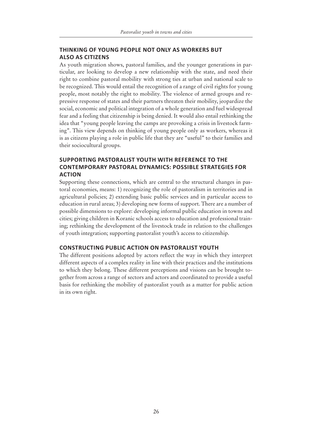# **THINKING OF YOUNG PEOPLE NOT ONLY AS WORKERS BUT ALSO AS CITIZENS**

As youth migration shows, pastoral families, and the younger generations in particular, are looking to develop a new relationship with the state, and need their right to combine pastoral mobility with strong ties at urban and national scale to be recognized. This would entail the recognition of a range of civil rights for young people, most notably the right to mobility. The violence of armed groups and repressive response of states and their partners threaten their mobility, jeopardize the social, economic and political integration of a whole generation and fuel widespread fear and a feeling that citizenship is being denied. It would also entail rethinking the idea that "young people leaving the camps are provoking a crisis in livestock farming". This view depends on thinking of young people only as workers, whereas it is as citizens playing a role in public life that they are "useful" to their families and their sociocultural groups.

# **SUPPORTING PASTORALIST YOUTH WITH REFERENCE TO THE CONTEMPORARY PASTORAL DYNAMICS: POSSIBLE STRATEGIES FOR ACTION**

Supporting these connections, which are central to the structural changes in pastoral economies, means: 1) recognizing the role of pastoralism in territories and in agricultural policies; 2) extending basic public services and in particular access to education in rural areas; 3) developing new forms of support. There are a number of possible dimensions to explore: developing informal public education in towns and cities; giving children in Koranic schools access to education and professional training; rethinking the development of the livestock trade in relation to the challenges of youth integration; supporting pastoralist youth's access to citizenship.

### **CONSTRUCTING PUBLIC ACTION ON PASTORALIST YOUTH**

The different positions adopted by actors reflect the way in which they interpret different aspects of a complex reality in line with their practices and the institutions to which they belong. These different perceptions and visions can be brought together from across a range of sectors and actors and coordinated to provide a useful basis for rethinking the mobility of pastoralist youth as a matter for public action in its own right.